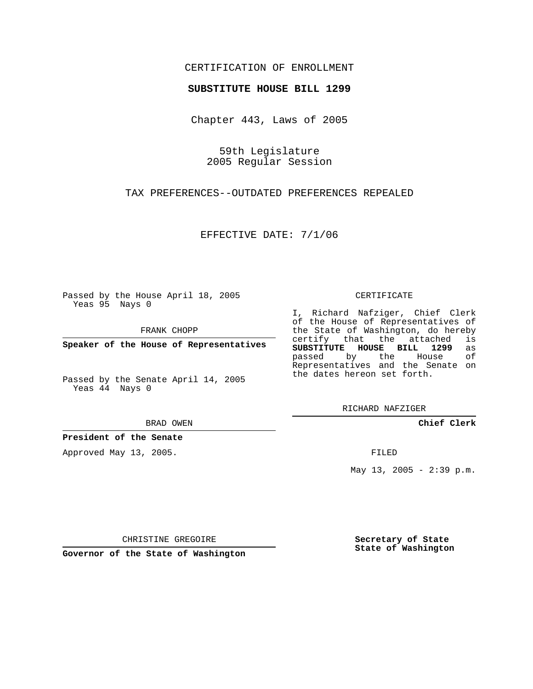## CERTIFICATION OF ENROLLMENT

### **SUBSTITUTE HOUSE BILL 1299**

Chapter 443, Laws of 2005

59th Legislature 2005 Regular Session

TAX PREFERENCES--OUTDATED PREFERENCES REPEALED

EFFECTIVE DATE: 7/1/06

Passed by the House April 18, 2005 Yeas 95 Nays 0

FRANK CHOPP

**Speaker of the House of Representatives**

Passed by the Senate April 14, 2005 Yeas 44 Nays 0

BRAD OWEN

**President of the Senate**

Approved May 13, 2005.

#### CERTIFICATE

I, Richard Nafziger, Chief Clerk of the House of Representatives of the State of Washington, do hereby<br>certify that the attached is certify that the attached **SUBSTITUTE HOUSE BILL 1299** as passed by the House Representatives and the Senate on the dates hereon set forth.

RICHARD NAFZIGER

**Chief Clerk**

FILED

May  $13$ ,  $2005 - 2:39$  p.m.

CHRISTINE GREGOIRE

**Governor of the State of Washington**

**Secretary of State State of Washington**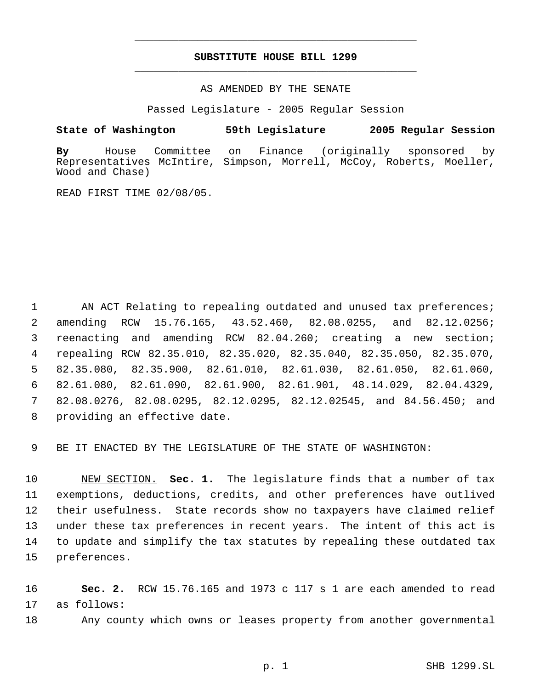# **SUBSTITUTE HOUSE BILL 1299** \_\_\_\_\_\_\_\_\_\_\_\_\_\_\_\_\_\_\_\_\_\_\_\_\_\_\_\_\_\_\_\_\_\_\_\_\_\_\_\_\_\_\_\_\_

\_\_\_\_\_\_\_\_\_\_\_\_\_\_\_\_\_\_\_\_\_\_\_\_\_\_\_\_\_\_\_\_\_\_\_\_\_\_\_\_\_\_\_\_\_

AS AMENDED BY THE SENATE

Passed Legislature - 2005 Regular Session

## **State of Washington 59th Legislature 2005 Regular Session**

**By** House Committee on Finance (originally sponsored by Representatives McIntire, Simpson, Morrell, McCoy, Roberts, Moeller, Wood and Chase)

READ FIRST TIME 02/08/05.

1 AN ACT Relating to repealing outdated and unused tax preferences; amending RCW 15.76.165, 43.52.460, 82.08.0255, and 82.12.0256; reenacting and amending RCW 82.04.260; creating a new section; repealing RCW 82.35.010, 82.35.020, 82.35.040, 82.35.050, 82.35.070, 82.35.080, 82.35.900, 82.61.010, 82.61.030, 82.61.050, 82.61.060, 82.61.080, 82.61.090, 82.61.900, 82.61.901, 48.14.029, 82.04.4329, 82.08.0276, 82.08.0295, 82.12.0295, 82.12.02545, and 84.56.450; and providing an effective date.

9 BE IT ENACTED BY THE LEGISLATURE OF THE STATE OF WASHINGTON:

 NEW SECTION. **Sec. 1.** The legislature finds that a number of tax exemptions, deductions, credits, and other preferences have outlived their usefulness. State records show no taxpayers have claimed relief under these tax preferences in recent years. The intent of this act is to update and simplify the tax statutes by repealing these outdated tax preferences.

16 **Sec. 2.** RCW 15.76.165 and 1973 c 117 s 1 are each amended to read 17 as follows:

18 Any county which owns or leases property from another governmental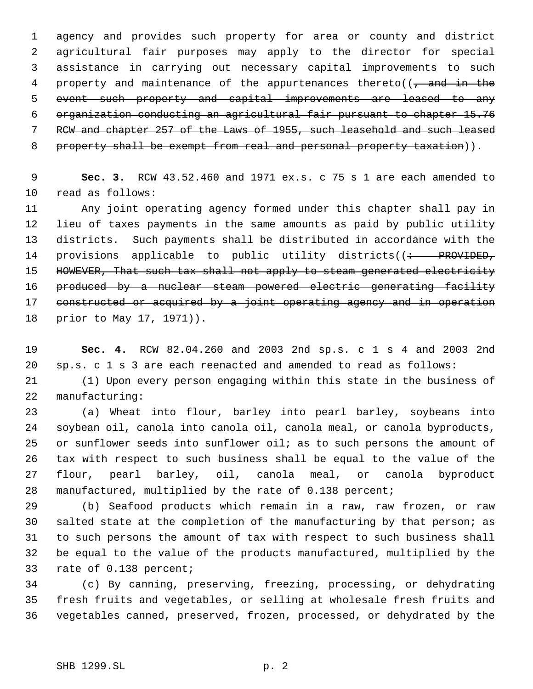agency and provides such property for area or county and district agricultural fair purposes may apply to the director for special assistance in carrying out necessary capital improvements to such 4 property and maintenance of the appurtenances thereto( $\sqrt{7}$  and in the event such property and capital improvements are leased to any organization conducting an agricultural fair pursuant to chapter 15.76 RCW and chapter 257 of the Laws of 1955, such leasehold and such leased 8 property shall be exempt from real and personal property taxation)).

 **Sec. 3.** RCW 43.52.460 and 1971 ex.s. c 75 s 1 are each amended to read as follows:

 Any joint operating agency formed under this chapter shall pay in lieu of taxes payments in the same amounts as paid by public utility districts. Such payments shall be distributed in accordance with the 14 provisions applicable to public utility districts((: PROVIDED, 15 HOWEVER, That such tax shall not apply to steam generated electricity produced by a nuclear steam powered electric generating facility constructed or acquired by a joint operating agency and in operation 18 prior to May 17, 1971)).

 **Sec. 4.** RCW 82.04.260 and 2003 2nd sp.s. c 1 s 4 and 2003 2nd sp.s. c 1 s 3 are each reenacted and amended to read as follows:

 (1) Upon every person engaging within this state in the business of manufacturing:

 (a) Wheat into flour, barley into pearl barley, soybeans into soybean oil, canola into canola oil, canola meal, or canola byproducts, 25 or sunflower seeds into sunflower oil; as to such persons the amount of tax with respect to such business shall be equal to the value of the flour, pearl barley, oil, canola meal, or canola byproduct manufactured, multiplied by the rate of 0.138 percent;

 (b) Seafood products which remain in a raw, raw frozen, or raw salted state at the completion of the manufacturing by that person; as to such persons the amount of tax with respect to such business shall be equal to the value of the products manufactured, multiplied by the rate of 0.138 percent;

 (c) By canning, preserving, freezing, processing, or dehydrating fresh fruits and vegetables, or selling at wholesale fresh fruits and vegetables canned, preserved, frozen, processed, or dehydrated by the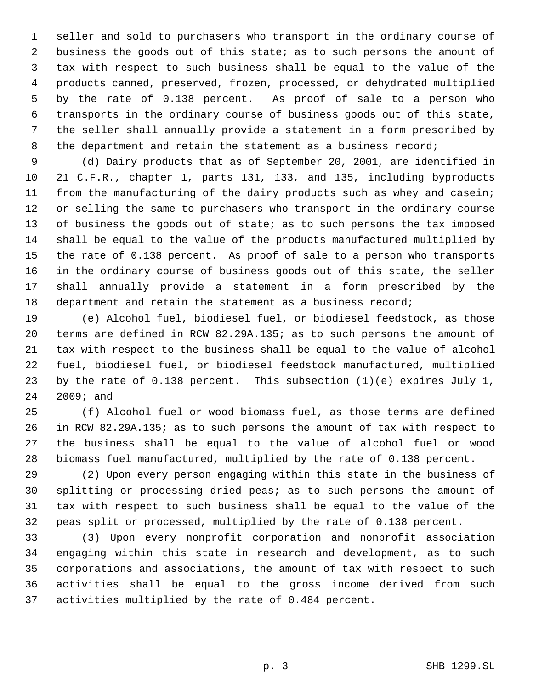seller and sold to purchasers who transport in the ordinary course of business the goods out of this state; as to such persons the amount of tax with respect to such business shall be equal to the value of the products canned, preserved, frozen, processed, or dehydrated multiplied by the rate of 0.138 percent. As proof of sale to a person who transports in the ordinary course of business goods out of this state, the seller shall annually provide a statement in a form prescribed by the department and retain the statement as a business record;

 (d) Dairy products that as of September 20, 2001, are identified in 21 C.F.R., chapter 1, parts 131, 133, and 135, including byproducts from the manufacturing of the dairy products such as whey and casein; or selling the same to purchasers who transport in the ordinary course 13 of business the goods out of state; as to such persons the tax imposed shall be equal to the value of the products manufactured multiplied by the rate of 0.138 percent. As proof of sale to a person who transports in the ordinary course of business goods out of this state, the seller shall annually provide a statement in a form prescribed by the 18 department and retain the statement as a business record;

 (e) Alcohol fuel, biodiesel fuel, or biodiesel feedstock, as those terms are defined in RCW 82.29A.135; as to such persons the amount of tax with respect to the business shall be equal to the value of alcohol fuel, biodiesel fuel, or biodiesel feedstock manufactured, multiplied by the rate of 0.138 percent. This subsection (1)(e) expires July 1, 2009; and

 (f) Alcohol fuel or wood biomass fuel, as those terms are defined in RCW 82.29A.135; as to such persons the amount of tax with respect to the business shall be equal to the value of alcohol fuel or wood biomass fuel manufactured, multiplied by the rate of 0.138 percent.

 (2) Upon every person engaging within this state in the business of splitting or processing dried peas; as to such persons the amount of tax with respect to such business shall be equal to the value of the peas split or processed, multiplied by the rate of 0.138 percent.

 (3) Upon every nonprofit corporation and nonprofit association engaging within this state in research and development, as to such corporations and associations, the amount of tax with respect to such activities shall be equal to the gross income derived from such activities multiplied by the rate of 0.484 percent.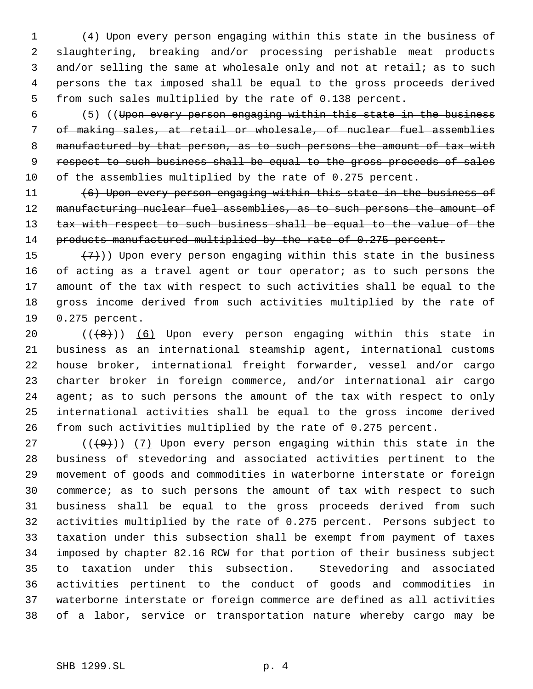(4) Upon every person engaging within this state in the business of slaughtering, breaking and/or processing perishable meat products and/or selling the same at wholesale only and not at retail; as to such persons the tax imposed shall be equal to the gross proceeds derived from such sales multiplied by the rate of 0.138 percent.

 (5) ((Upon every person engaging within this state in the business of making sales, at retail or wholesale, of nuclear fuel assemblies 8 manufactured by that person, as to such persons the amount of tax with 9 respect to such business shall be equal to the gross proceeds of sales 10 of the assemblies multiplied by the rate of 0.275 percent.

 (6) Upon every person engaging within this state in the business of 12 manufacturing nuclear fuel assemblies, as to such persons the amount of 13 tax with respect to such business shall be equal to the value of the 14 products manufactured multiplied by the rate of 0.275 percent.

 $(7)$ )) Upon every person engaging within this state in the business of acting as a travel agent or tour operator; as to such persons the amount of the tax with respect to such activities shall be equal to the gross income derived from such activities multiplied by the rate of 0.275 percent.

 $((+8))$   $(6)$  Upon every person engaging within this state in business as an international steamship agent, international customs house broker, international freight forwarder, vessel and/or cargo charter broker in foreign commerce, and/or international air cargo 24 agent; as to such persons the amount of the tax with respect to only international activities shall be equal to the gross income derived from such activities multiplied by the rate of 0.275 percent.

27 ( $(\frac{49}{})$ ) (7) Upon every person engaging within this state in the business of stevedoring and associated activities pertinent to the movement of goods and commodities in waterborne interstate or foreign commerce; as to such persons the amount of tax with respect to such business shall be equal to the gross proceeds derived from such activities multiplied by the rate of 0.275 percent. Persons subject to taxation under this subsection shall be exempt from payment of taxes imposed by chapter 82.16 RCW for that portion of their business subject to taxation under this subsection. Stevedoring and associated activities pertinent to the conduct of goods and commodities in waterborne interstate or foreign commerce are defined as all activities of a labor, service or transportation nature whereby cargo may be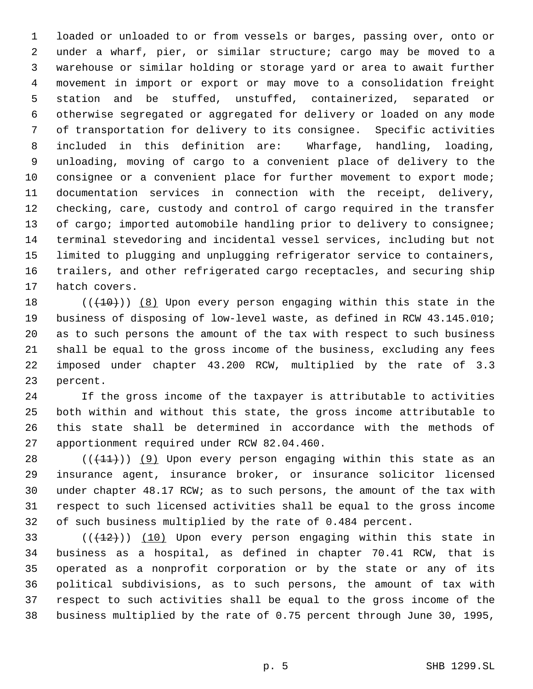loaded or unloaded to or from vessels or barges, passing over, onto or under a wharf, pier, or similar structure; cargo may be moved to a warehouse or similar holding or storage yard or area to await further movement in import or export or may move to a consolidation freight station and be stuffed, unstuffed, containerized, separated or otherwise segregated or aggregated for delivery or loaded on any mode of transportation for delivery to its consignee. Specific activities included in this definition are: Wharfage, handling, loading, unloading, moving of cargo to a convenient place of delivery to the consignee or a convenient place for further movement to export mode; documentation services in connection with the receipt, delivery, checking, care, custody and control of cargo required in the transfer 13 of cargo; imported automobile handling prior to delivery to consignee; terminal stevedoring and incidental vessel services, including but not limited to plugging and unplugging refrigerator service to containers, trailers, and other refrigerated cargo receptacles, and securing ship hatch covers.

 $((+10))$   $(8)$  Upon every person engaging within this state in the business of disposing of low-level waste, as defined in RCW 43.145.010; as to such persons the amount of the tax with respect to such business shall be equal to the gross income of the business, excluding any fees imposed under chapter 43.200 RCW, multiplied by the rate of 3.3 percent.

 If the gross income of the taxpayer is attributable to activities both within and without this state, the gross income attributable to this state shall be determined in accordance with the methods of apportionment required under RCW 82.04.460.

 $((+11))$  (9) Upon every person engaging within this state as an insurance agent, insurance broker, or insurance solicitor licensed under chapter 48.17 RCW; as to such persons, the amount of the tax with respect to such licensed activities shall be equal to the gross income of such business multiplied by the rate of 0.484 percent.

 $((+12))$   $(10)$  Upon every person engaging within this state in business as a hospital, as defined in chapter 70.41 RCW, that is operated as a nonprofit corporation or by the state or any of its political subdivisions, as to such persons, the amount of tax with respect to such activities shall be equal to the gross income of the business multiplied by the rate of 0.75 percent through June 30, 1995,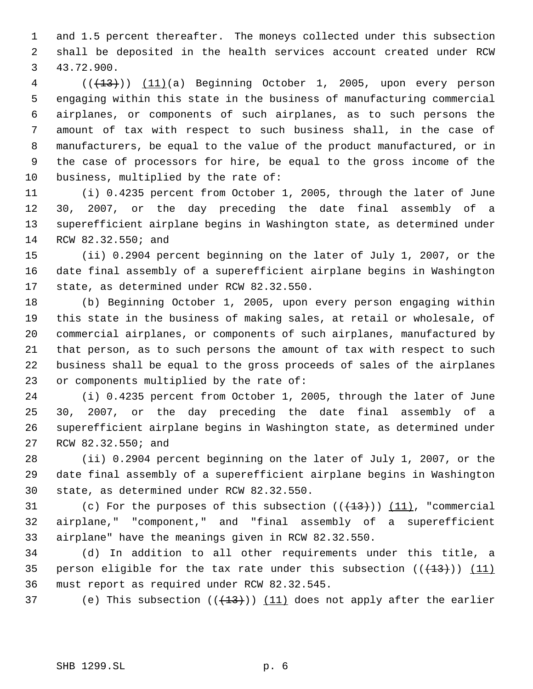and 1.5 percent thereafter. The moneys collected under this subsection shall be deposited in the health services account created under RCW 43.72.900.

4 (( $(13)$ )) (11)(a) Beginning October 1, 2005, upon every person engaging within this state in the business of manufacturing commercial airplanes, or components of such airplanes, as to such persons the amount of tax with respect to such business shall, in the case of manufacturers, be equal to the value of the product manufactured, or in the case of processors for hire, be equal to the gross income of the business, multiplied by the rate of:

 (i) 0.4235 percent from October 1, 2005, through the later of June 30, 2007, or the day preceding the date final assembly of a superefficient airplane begins in Washington state, as determined under RCW 82.32.550; and

 (ii) 0.2904 percent beginning on the later of July 1, 2007, or the date final assembly of a superefficient airplane begins in Washington state, as determined under RCW 82.32.550.

 (b) Beginning October 1, 2005, upon every person engaging within this state in the business of making sales, at retail or wholesale, of commercial airplanes, or components of such airplanes, manufactured by that person, as to such persons the amount of tax with respect to such business shall be equal to the gross proceeds of sales of the airplanes or components multiplied by the rate of:

 (i) 0.4235 percent from October 1, 2005, through the later of June 30, 2007, or the day preceding the date final assembly of a superefficient airplane begins in Washington state, as determined under RCW 82.32.550; and

 (ii) 0.2904 percent beginning on the later of July 1, 2007, or the date final assembly of a superefficient airplane begins in Washington state, as determined under RCW 82.32.550.

31 (c) For the purposes of this subsection  $((+13))$   $(11)$ , "commercial airplane," "component," and "final assembly of a superefficient airplane" have the meanings given in RCW 82.32.550.

 (d) In addition to all other requirements under this title, a 35 person eligible for the tax rate under this subsection  $((+13))$  (11) must report as required under RCW 82.32.545.

37 (e) This subsection  $((+13))$   $(11)$  does not apply after the earlier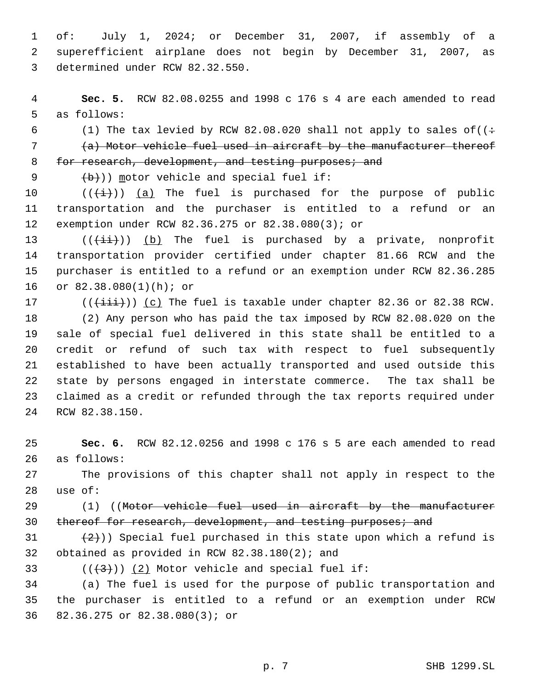of: July 1, 2024; or December 31, 2007, if assembly of a superefficient airplane does not begin by December 31, 2007, as determined under RCW 82.32.550.

 **Sec. 5.** RCW 82.08.0255 and 1998 c 176 s 4 are each amended to read as follows:

6 (1) The tax levied by RCW 82.08.020 shall not apply to sales of  $((\div$  (a) Motor vehicle fuel used in aircraft by the manufacturer thereof 8 for research, development, and testing purposes; and

9  $(b)$ ) motor vehicle and special fuel if:

10  $((\overleftrightarrow{t}))$  (a) The fuel is purchased for the purpose of public transportation and the purchaser is entitled to a refund or an exemption under RCW 82.36.275 or 82.38.080(3); or

 $((\overrightarrow{4i}))$  (b) The fuel is purchased by a private, nonprofit transportation provider certified under chapter 81.66 RCW and the purchaser is entitled to a refund or an exemption under RCW 82.36.285 or 82.38.080(1)(h); or

17 ( $(\{\pm i\}\})$  (c) The fuel is taxable under chapter 82.36 or 82.38 RCW.

 (2) Any person who has paid the tax imposed by RCW 82.08.020 on the sale of special fuel delivered in this state shall be entitled to a credit or refund of such tax with respect to fuel subsequently established to have been actually transported and used outside this state by persons engaged in interstate commerce. The tax shall be claimed as a credit or refunded through the tax reports required under RCW 82.38.150.

 **Sec. 6.** RCW 82.12.0256 and 1998 c 176 s 5 are each amended to read as follows:

 The provisions of this chapter shall not apply in respect to the use of:

29 (1) ((Motor vehicle fuel used in aircraft by the manufacturer 30 thereof for research, development, and testing purposes; and

31  $(2)$ )) Special fuel purchased in this state upon which a refund is obtained as provided in RCW 82.38.180(2); and

33  $((+3))$   $(2)$  Motor vehicle and special fuel if:

 (a) The fuel is used for the purpose of public transportation and the purchaser is entitled to a refund or an exemption under RCW 82.36.275 or 82.38.080(3); or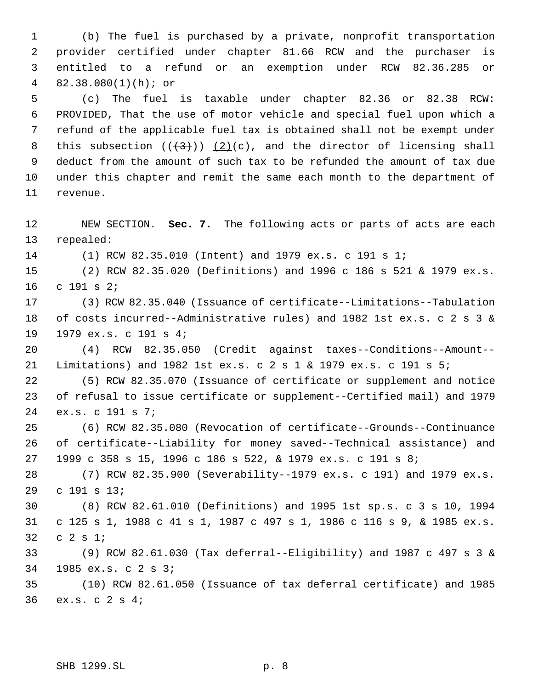(b) The fuel is purchased by a private, nonprofit transportation provider certified under chapter 81.66 RCW and the purchaser is entitled to a refund or an exemption under RCW 82.36.285 or 82.38.080(1)(h); or

 (c) The fuel is taxable under chapter 82.36 or 82.38 RCW: PROVIDED, That the use of motor vehicle and special fuel upon which a refund of the applicable fuel tax is obtained shall not be exempt under 8 this subsection  $((+3+))$   $(2)(c)$ , and the director of licensing shall deduct from the amount of such tax to be refunded the amount of tax due under this chapter and remit the same each month to the department of revenue.

 NEW SECTION. **Sec. 7.** The following acts or parts of acts are each repealed:

(1) RCW 82.35.010 (Intent) and 1979 ex.s. c 191 s 1;

 (2) RCW 82.35.020 (Definitions) and 1996 c 186 s 521 & 1979 ex.s. c 191 s 2;

 (3) RCW 82.35.040 (Issuance of certificate--Limitations--Tabulation of costs incurred--Administrative rules) and 1982 1st ex.s. c 2 s 3 & 1979 ex.s. c 191 s 4;

 (4) RCW 82.35.050 (Credit against taxes--Conditions--Amount-- Limitations) and 1982 1st ex.s. c 2 s 1 & 1979 ex.s. c 191 s 5;

 (5) RCW 82.35.070 (Issuance of certificate or supplement and notice of refusal to issue certificate or supplement--Certified mail) and 1979 ex.s. c 191 s 7;

 (6) RCW 82.35.080 (Revocation of certificate--Grounds--Continuance of certificate--Liability for money saved--Technical assistance) and 1999 c 358 s 15, 1996 c 186 s 522, & 1979 ex.s. c 191 s 8;

 (7) RCW 82.35.900 (Severability--1979 ex.s. c 191) and 1979 ex.s. c 191 s 13;

 (8) RCW 82.61.010 (Definitions) and 1995 1st sp.s. c 3 s 10, 1994 c 125 s 1, 1988 c 41 s 1, 1987 c 497 s 1, 1986 c 116 s 9, & 1985 ex.s. c 2 s 1;

 (9) RCW 82.61.030 (Tax deferral--Eligibility) and 1987 c 497 s 3 & 1985 ex.s. c 2 s 3;

 (10) RCW 82.61.050 (Issuance of tax deferral certificate) and 1985 ex.s. c 2 s 4;